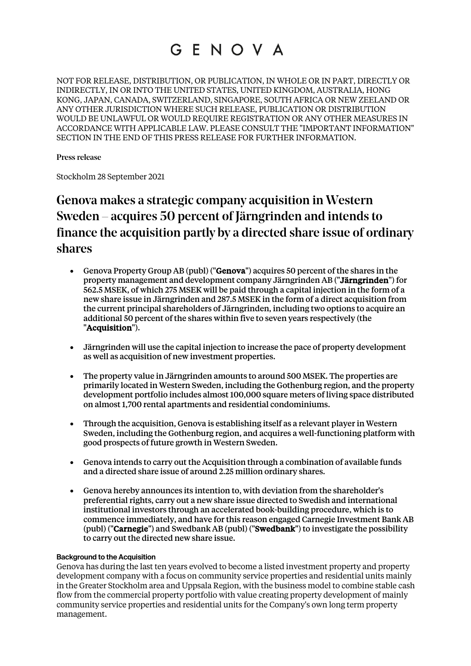# GENOVA

NOT FOR RELEASE, DISTRIBUTION, OR PUBLICATION, IN WHOLE OR IN PART, DIRECTLY OR INDIRECTLY, IN OR INTO THE UNITED STATES, UNITED KINGDOM, AUSTRALIA, HONG KONG, JAPAN, CANADA, SWITZERLAND, SINGAPORE, SOUTH AFRICA OR NEW ZEELAND OR ANY OTHER JURISDICTION WHERE SUCH RELEASE, PUBLICATION OR DISTRIBUTION WOULD BE UNLAWFUL OR WOULD REQUIRE REGISTRATION OR ANY OTHER MEASURES IN ACCORDANCE WITH APPLICABLE LAW. PLEASE CONSULT THE "IMPORTANT INFORMATION" SECTION IN THE END OF THIS PRESS RELEASE FOR FURTHER INFORMATION.

Press release

Stockholm 28 September 2021

# Genova makes a strategic company acquisition in Western Sweden – acquires 50 percent of Järngrinden and intends to finance the acquisition partly by a directed share issue of ordinary shares

- Genova Property Group AB (publ) ("Genova") acquires 50 percent of the shares in the property management and development company Järngrinden AB ("Järngrinden") for 562.5 MSEK, of which 275 MSEK will be paid through a capital injection in the form of a new share issue in Järngrinden and 287.5 MSEK in the form of a direct acquisition from the current principal shareholders of Järngrinden, including two options to acquire an additional 50 percent of the shares within five to seven years respectively (the "Acquisition").
- Järngrinden will use the capital injection to increase the pace of property development as well as acquisition of new investment properties.
- The property value in Järngrinden amounts to around 500 MSEK. The properties are primarily located in Western Sweden, including the Gothenburg region, and the property development portfolio includes almost 100,000 square meters of living space distributed on almost 1,700 rental apartments and residential condominiums.
- Through the acquisition, Genova is establishing itself as a relevant player in Western Sweden, including the Gothenburg region, and acquires a well-functioning platform with good prospects of future growth in Western Sweden.
- Genova intends to carry out the Acquisition through a combination of available funds and a directed share issue of around 2.25 million ordinary shares.
- Genova hereby announces its intention to, with deviation from the shareholder's preferential rights, carry out a new share issue directed to Swedish and international institutional investors through an accelerated book-building procedure, which is to commence immediately, and have for this reason engaged Carnegie Investment Bank AB (publ) ("Carnegie") and Swedbank AB (publ) ("Swedbank") to investigate the possibility to carry out the directed new share issue.

## **Background to the Acquisition**

Genova has during the last ten years evolved to become a listed investment property and property development company with a focus on community service properties and residential units mainly in the Greater Stockholm area and Uppsala Region, with the business model to combine stable cash flow from the commercial property portfolio with value creating property development of mainly community service properties and residential units for the Company's own long term property management.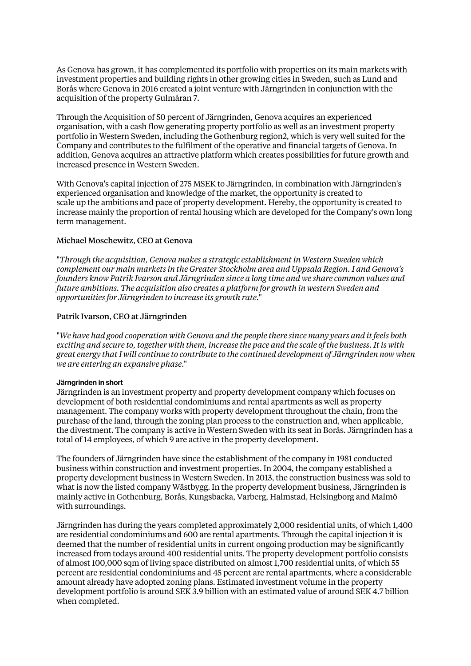As Genova has grown, it has complemented its portfolio with properties on its main markets with investment properties and building rights in other growing cities in Sweden, such as Lund and Borås where Genova in 2016 created a joint venture with Järngrinden in conjunction with the acquisition of the property Gulmåran 7.

Through the Acquisition of 50 percent of Järngrinden, Genova acquires an experienced organisation, with a cash flow generating property portfolio as well as an investment property portfolio in Western Sweden, including the Gothenburg region2, which is very well suited for the Company and contributes to the fulfilment of the operative and financial targets of Genova. In addition, Genova acquires an attractive platform which creates possibilities for future growth and increased presence in Western Sweden.

With Genova's capital injection of 275 MSEK to Järngrinden, in combination with Järngrinden's experienced organisation and knowledge of the market, the opportunity is created to scale up the ambitions and pace of property development. Hereby, the opportunity is created to increase mainly the proportion of rental housing which are developed for the Company's own long term management.

# Michael Moschewitz, CEO at Genova

"*Through the acquisition, Genova makes a strategic establishment in Western Sweden which complement our main markets in the Greater Stockholm area and Uppsala Region. I and Genova's founders know Patrik Ivarson and Järngrinden since a long time and we share common values and future ambitions. The acquisition also creates a platform for growth in western Sweden and opportunities for Järngrinden to increase its growth rate*."

# Patrik Ivarson, CEO at Järngrinden

"*We have had good cooperation with Genova and the people there since many years and it feels both exciting and secure to, together with them, increase the pace and the scale of the business. It is with great energy that I will continue to contribute to the continued development of Järngrinden now when we are entering an expansive phase*."

### **Järngrinden in short**

Järngrinden is an investment property and property development company which focuses on development of both residential condominiums and rental apartments as well as property management. The company works with property development throughout the chain, from the purchase of the land, through the zoning plan process to the construction and, when applicable, the divestment. The company is active in Western Sweden with its seat in Borås. Järngrinden has a total of 14 employees, of which 9 are active in the property development.

The founders of Järngrinden have since the establishment of the company in 1981 conducted business within construction and investment properties. In 2004, the company established a property development business in Western Sweden. In 2013, the construction business was sold to what is now the listed company Wästbygg. In the property development business, Järngrinden is mainly active in Gothenburg, Borås, Kungsbacka, Varberg, Halmstad, Helsingborg and Malmö with surroundings.

Järngrinden has during the years completed approximately 2,000 residential units, of which 1,400 are residential condominiums and 600 are rental apartments. Through the capital injection it is deemed that the number of residential units in current ongoing production may be significantly increased from todays around 400 residential units. The property development portfolio consists of almost 100,000 sqm of living space distributed on almost 1,700 residential units, of which 55 percent are residential condominiums and 45 percent are rental apartments, where a considerable amount already have adopted zoning plans. Estimated investment volume in the property development portfolio is around SEK 3.9 billion with an estimated value of around SEK 4.7 billion when completed.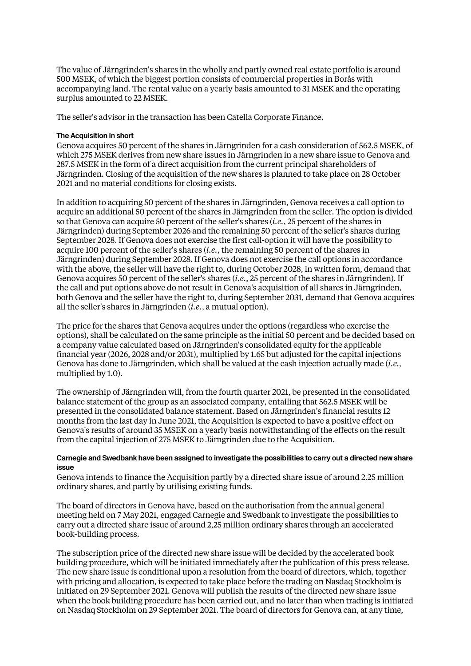The value of Järngrinden's shares in the wholly and partly owned real estate portfolio is around 500 MSEK, of which the biggest portion consists of commercial properties in Borås with accompanying land. The rental value on a yearly basis amounted to 31 MSEK and the operating surplus amounted to 22 MSEK.

The seller's advisor in the transaction has been Catella Corporate Finance.

### **The Acquisition in short**

Genova acquires 50 percent of the shares in Järngrinden for a cash consideration of 562.5 MSEK, of which 275 MSEK derives from new share issues in Järngrinden in a new share issue to Genova and 287.5 MSEK in the form of a direct acquisition from the current principal shareholders of Järngrinden. Closing of the acquisition of the new shares is planned to take place on 28 October 2021 and no material conditions for closing exists.

In addition to acquiring 50 percent of the shares in Järngrinden, Genova receives a call option to acquire an additional 50 percent of the shares in Järngrinden from the seller. The option is divided so that Genova can acquire 50 percent of the seller's shares (*i.e.*, 25 percent of the shares in Järngrinden) during September 2026 and the remaining 50 percent of the seller's shares during September 2028. If Genova does not exercise the first call-option it will have the possibility to acquire 100 percent of the seller's shares (*i.e.*, the remaining 50 percent of the shares in Järngrinden) during September 2028. If Genova does not exercise the call options in accordance with the above, the seller will have the right to, during October 2028, in written form, demand that Genova acquires 50 percent of the seller's shares (*i.e.*, 25 percent of the shares in Järngrinden). If the call and put options above do not result in Genova's acquisition of all shares in Järngrinden, both Genova and the seller have the right to, during September 2031, demand that Genova acquires all the seller's shares in Järngrinden (*i.e.*, a mutual option).

The price for the shares that Genova acquires under the options (regardless who exercise the options), shall be calculated on the same principle as the initial 50 percent and be decided based on a company value calculated based on Järngrinden's consolidated equity for the applicable financial year (2026, 2028 and/or 2031), multiplied by 1.65 but adjusted for the capital injections Genova has done to Järngrinden, which shall be valued at the cash injection actually made (*i.e.,* multiplied by 1.0).

The ownership of Järngrinden will, from the fourth quarter 2021, be presented in the consolidated balance statement of the group as an associated company, entailing that 562.5 MSEK will be presented in the consolidated balance statement. Based on Järngrinden's financial results 12 months from the last day in June 2021, the Acquisition is expected to have a positive effect on Genova's results of around 35 MSEK on a yearly basis notwithstanding of the effects on the result from the capital injection of 275 MSEK to Järngrinden due to the Acquisition.

#### **Carnegie and Swedbank have been assigned to investigate the possibilities to carry out a directed new share issue**

Genova intends to finance the Acquisition partly by a directed share issue of around 2.25 million ordinary shares, and partly by utilising existing funds.

The board of directors in Genova have, based on the authorisation from the annual general meeting held on 7 May 2021, engaged Carnegie and Swedbank to investigate the possibilities to carry out a directed share issue of around 2,25 million ordinary shares through an accelerated book-building process.

The subscription price of the directed new share issue will be decided by the accelerated book building procedure, which will be initiated immediately after the publication of this press release. The new share issue is conditional upon a resolution from the board of directors, which, together with pricing and allocation, is expected to take place before the trading on Nasdaq Stockholm is initiated on 29 September 2021. Genova will publish the results of the directed new share issue when the book building procedure has been carried out, and no later than when trading is initiated on Nasdaq Stockholm on 29 September 2021. The board of directors for Genova can, at any time,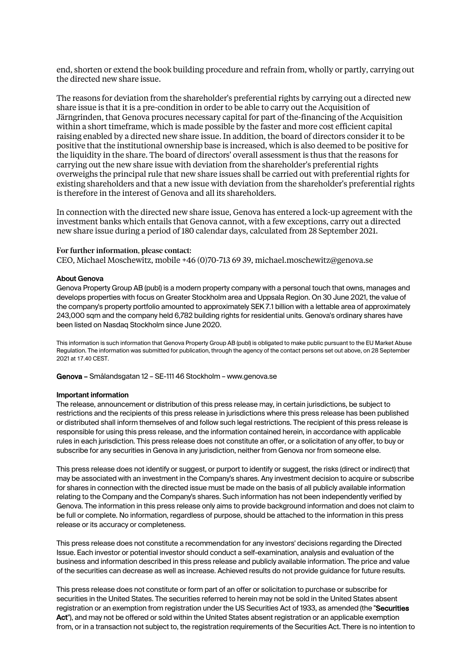end, shorten or extend the book building procedure and refrain from, wholly or partly, carrying out the directed new share issue.

The reasons for deviation from the shareholder's preferential rights by carrying out a directed new share issue is that it is a pre-condition in order to be able to carry out the Acquisition of Järngrinden, that Genova procures necessary capital for part of the-financing of the Acquisition within a short timeframe, which is made possible by the faster and more cost efficient capital raising enabled by a directed new share issue. In addition, the board of directors consider it to be positive that the institutional ownership base is increased, which is also deemed to be positive for the liquidity in the share. The board of directors' overall assessment is thus that the reasons for carrying out the new share issue with deviation from the shareholder's preferential rights overweighs the principal rule that new share issues shall be carried out with preferential rights for existing shareholders and that a new issue with deviation from the shareholder's preferential rights is therefore in the interest of Genova and all its shareholders.

In connection with the directed new share issue, Genova has entered a lock-up agreement with the investment banks which entails that Genova cannot, with a few exceptions, carry out a directed new share issue during a period of 180 calendar days, calculated from 28 September 2021.

#### For further information, please contact:

CEO, Michael Moschewitz, mobile +46 (0)70-713 69 39, michael.moschewitz@genova.se

#### **About Genova**

Genova Property Group AB (publ) is a modern property company with a personal touch that owns, manages and develops properties with focus on Greater Stockholm area and Uppsala Region. On 30 June 2021, the value of the company's property portfolio amounted to approximately SEK 7.1 billion with a lettable area of approximately 243,000 sqm and the company held 6,782 building rights for residential units. Genova's ordinary shares have been listed on Nasdaq Stockholm since June 2020.

This information is such information that Genova Property Group AB (publ) is obligated to make public pursuant to the EU Market Abuse Regulation. The information was submitted for publication, through the agency of the contact persons set out above, on 28 September 2021 at 17.40 CEST.

Genova – Smålandsgatan 12 – SE-111 46 Stockholm – www.genova.se

#### **Important information**

The release, announcement or distribution of this press release may, in certain jurisdictions, be subject to restrictions and the recipients of this press release in jurisdictions where this press release has been published or distributed shall inform themselves of and follow such legal restrictions. The recipient of this press release is responsible for using this press release, and the information contained herein, in accordance with applicable rules in each jurisdiction. This press release does not constitute an offer, or a solicitation of any offer, to buy or subscribe for any securities in Genova in any jurisdiction, neither from Genova nor from someone else.

This press release does not identify or suggest, or purport to identify or suggest, the risks (direct or indirect) that may be associated with an investment in the Company's shares. Any investment decision to acquire or subscribe for shares in connection with the directed issue must be made on the basis of all publicly available information relating to the Company and the Company's shares. Such information has not been independently verified by Genova. The information in this press release only aims to provide background information and does not claim to be full or complete. No information, regardless of purpose, should be attached to the information in this press release or its accuracy or completeness.

This press release does not constitute a recommendation for any investors' decisions regarding the Directed Issue. Each investor or potential investor should conduct a self-examination, analysis and evaluation of the business and information described in this press release and publicly available information. The price and value of the securities can decrease as well as increase. Achieved results do not provide guidance for future results.

This press release does not constitute or form part of an offer or solicitation to purchase or subscribe for securities in the United States. The securities referred to herein may not be sold in the United States absent registration or an exemption from registration under the US Securities Act of 1933, as amended (the "Securities Act"), and may not be offered or sold within the United States absent registration or an applicable exemption from, or in a transaction not subject to, the registration requirements of the Securities Act. There is no intention to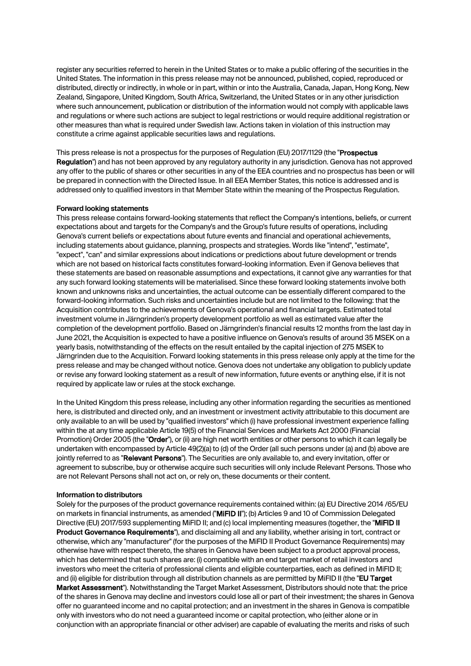register any securities referred to herein in the United States or to make a public offering of the securities in the United States. The information in this press release may not be announced, published, copied, reproduced or distributed, directly or indirectly, in whole or in part, within or into the Australia, Canada, Japan, Hong Kong, New Zealand, Singapore, United Kingdom, South Africa, Switzerland, the United States or in any other jurisdiction where such announcement, publication or distribution of the information would not comply with applicable laws and regulations or where such actions are subject to legal restrictions or would require additional registration or other measures than what is required under Swedish law. Actions taken in violation of this instruction may constitute a crime against applicable securities laws and regulations.

This press release is not a prospectus for the purposes of Regulation (EU) 2017/1129 (the "Prospectus Regulation") and has not been approved by any regulatory authority in any jurisdiction. Genova has not approved any offer to the public of shares or other securities in any of the EEA countries and no prospectus has been or will be prepared in connection with the Directed Issue. In all EEA Member States, this notice is addressed and is addressed only to qualified investors in that Member State within the meaning of the Prospectus Regulation.

#### **Forward looking statements**

This press release contains forward-looking statements that reflect the Company's intentions, beliefs, or current expectations about and targets for the Company's and the Group's future results of operations, including Genova's current beliefs or expectations about future events and financial and operational achievements, including statements about guidance, planning, prospects and strategies. Words like "intend", "estimate", "expect", "can" and similar expressions about indications or predictions about future development or trends which are not based on historical facts constitutes forward-looking information. Even if Genova believes that these statements are based on reasonable assumptions and expectations, it cannot give any warranties for that any such forward looking statements will be materialised. Since these forward looking statements involve both known and unknowns risks and uncertainties, the actual outcome can be essentially different compared to the forward-looking information. Such risks and uncertainties include but are not limited to the following: that the Acquisition contributes to the achievements of Genova's operational and financial targets. Estimated total investment volume in Järngrinden's property development portfolio as well as estimated value after the completion of the development portfolio. Based on Järngrinden's financial results 12 months from the last day in June 2021, the Acquisition is expected to have a positive influence on Genova's results of around 35 MSEK on a yearly basis, notwithstanding of the effects on the result entailed by the capital injection of 275 MSEK to Järngrinden due to the Acquisition. Forward looking statements in this press release only apply at the time for the press release and may be changed without notice. Genova does not undertake any obligation to publicly update or revise any forward looking statement as a result of new information, future events or anything else, if it is not required by applicate law or rules at the stock exchange.

In the United Kingdom this press release, including any other information regarding the securities as mentioned here, is distributed and directed only, and an investment or investment activity attributable to this document are only available to an will be used by "qualified investors" which (i) have professional investment experience falling within the at any time applicable Article 19(5) of the Financial Services and Markets Act 2000 (Financial Promotion) Order 2005 (the "Order"), or (ii) are high net worth entities or other persons to which it can legally be undertaken with encompassed by Article 49(2)(a) to (d) of the Order (all such persons under (a) and (b) above are jointly referred to as "Relevant Persons"). The Securities are only available to, and every invitation, offer or agreement to subscribe, buy or otherwise acquire such securities will only include Relevant Persons. Those who are not Relevant Persons shall not act on, or rely on, these documents or their content.

#### **Information to distributors**

Solely for the purposes of the product governance requirements contained within: (a) EU Directive 2014 /65/EU on markets in financial instruments, as amended ("MiFID II"); (b) Articles 9 and 10 of Commission Delegated Directive (EU) 2017/593 supplementing MiFID II; and (c) local implementing measures (together, the "MIFID II Product Governance Requirements"), and disclaiming all and any liability, whether arising in tort, contract or otherwise, which any "manufacturer" (for the purposes of the MiFID II Product Governance Requirements) may otherwise have with respect thereto, the shares in Genova have been subject to a product approval process, which has determined that such shares are: (i) compatible with an end target market of retail investors and investors who meet the criteria of professional clients and eligible counterparties, each as defined in MiFID II; and (ii) eligible for distribution through all distribution channels as are permitted by MiFID II (the "EU Target Market Assessment"). Notwithstanding the Target Market Assessment, Distributors should note that: the price of the shares in Genova may decline and investors could lose all or part of their investment; the shares in Genova offer no guaranteed income and no capital protection; and an investment in the shares in Genova is compatible only with investors who do not need a guaranteed income or capital protection, who (either alone or in conjunction with an appropriate financial or other adviser) are capable of evaluating the merits and risks of such